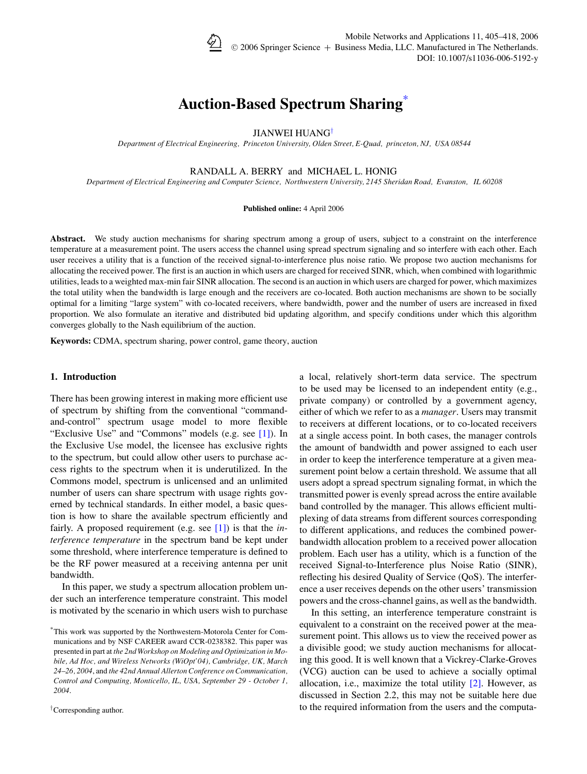

Mobile Networks and Applications 11, 405–418, 2006 <sup>C</sup> 2006 Springer Science + Business Media, LLC. Manufactured in The Netherlands. DOI: 10.1007/s11036-006-5192-y

# **Auction-Based Spectrum Sharing**\*

JIANWEI HUANG†

*Department of Electrical Engineering, Princeton University, Olden Street, E-Quad, princeton, NJ, USA 08544*

RANDALL A. BERRY and MICHAEL L. HONIG

*Department of Electrical Engineering and Computer Science, Northwestern University, 2145 Sheridan Road, Evanston, IL 60208*

## **Published online:** 4 April 2006

Abstract. We study auction mechanisms for sharing spectrum among a group of users, subject to a constraint on the interference temperature at a measurement point. The users access the channel using spread spectrum signaling and so interfere with each other. Each user receives a utility that is a function of the received signal-to-interference plus noise ratio. We propose two auction mechanisms for allocating the received power. The first is an auction in which users are charged for received SINR, which, when combined with logarithmic utilities, leads to a weighted max-min fair SINR allocation. The second is an auction in which users are charged for power, which maximizes the total utility when the bandwidth is large enough and the receivers are co-located. Both auction mechanisms are shown to be socially optimal for a limiting "large system" with co-located receivers, where bandwidth, power and the number of users are increased in fixed proportion. We also formulate an iterative and distributed bid updating algorithm, and specify conditions under which this algorithm converges globally to the Nash equilibrium of the auction.

**Keywords:** CDMA, spectrum sharing, power control, game theory, auction

## **1. Introduction**

There has been growing interest in making more efficient use of spectrum by shifting from the conventional "commandand-control" spectrum usage model to more flexible "Exclusive Use" and "Commons" models (e.g. see [\[1\]\)](#page-12-0). In the Exclusive Use model, the licensee has exclusive rights to the spectrum, but could allow other users to purchase access rights to the spectrum when it is underutilized. In the Commons model, spectrum is unlicensed and an unlimited number of users can share spectrum with usage rights governed by technical standards. In either model, a basic question is how to share the available spectrum efficiently and fairly. A proposed requirement (e.g. see [\[1\]\)](#page-12-0) is that the *interference temperature* in the spectrum band be kept under some threshold, where interference temperature is defined to be the RF power measured at a receiving antenna per unit bandwidth.

In this paper, we study a spectrum allocation problem under such an interference temperature constraint. This model is motivated by the scenario in which users wish to purchase

†Corresponding author.

a local, relatively short-term data service. The spectrum to be used may be licensed to an independent entity (e.g., private company) or controlled by a government agency, either of which we refer to as a *manager*. Users may transmit to receivers at different locations, or to co-located receivers at a single access point. In both cases, the manager controls the amount of bandwidth and power assigned to each user in order to keep the interference temperature at a given measurement point below a certain threshold. We assume that all users adopt a spread spectrum signaling format, in which the transmitted power is evenly spread across the entire available band controlled by the manager. This allows efficient multiplexing of data streams from different sources corresponding to different applications, and reduces the combined powerbandwidth allocation problem to a received power allocation problem. Each user has a utility, which is a function of the received Signal-to-Interference plus Noise Ratio (SINR), reflecting his desired Quality of Service (QoS). The interference a user receives depends on the other users' transmission powers and the cross-channel gains, as well as the bandwidth.

In this setting, an interference temperature constraint is equivalent to a constraint on the received power at the measurement point. This allows us to view the received power as a divisible good; we study auction mechanisms for allocating this good. It is well known that a Vickrey-Clarke-Groves (VCG) auction can be used to achieve a socially optimal allocation, i.e., maximize the total utility  $[2]$ . However, as discussed in Section 2.2, this may not be suitable here due to the required information from the users and the computa-

<sup>\*</sup>This work was supported by the Northwestern-Motorola Center for Communications and by NSF CAREER award CCR-0238382. This paper was presented in part at *the 2nd Workshop on Modeling and Optimization in Mobile, Ad Hoc, and Wireless Networks (WiOpt'04), Cambridge, UK, March 24–26, 2004*, and *the 42nd Annual Allerton Conference on Communication, Control and Computing, Monticello, IL, USA, September 29 - October 1, 2004*.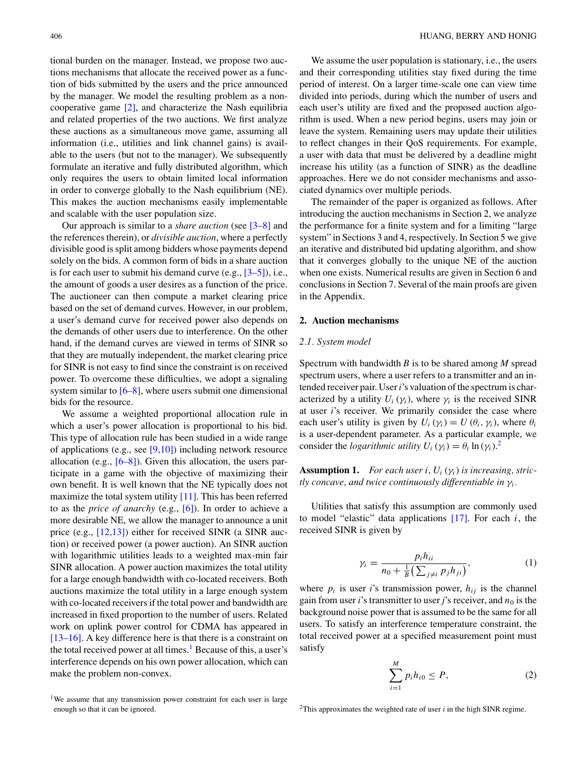tional burden on the manager. Instead, we propose two auctions mechanisms that allocate the received power as a function of bids submitted by the users and the price announced by the manager. We model the resulting problem as a noncooperative game [\[2\],](#page-12-1) and characterize the Nash equilibria and related properties of the two auctions. We first analyze these auctions as a simultaneous move game, assuming all information (i.e., utilities and link channel gains) is available to the users (but not to the manager). We subsequently formulate an iterative and fully distributed algorithm, which only requires the users to obtain limited local information in order to converge globally to the Nash equilibrium (NE). This makes the auction mechanisms easily implementable and scalable with the user population size.

Our approach is similar to a *share auction* (see [\[3–](#page-12-2)[8\]](#page-12-3) and the references therein), or *divisible auction*, where a perfectly divisible good is split among bidders whose payments depend solely on the bids. A common form of bids in a share auction is for each user to submit his demand curve  $(e.g., [3-5])$  $(e.g., [3-5])$ , i.e., the amount of goods a user desires as a function of the price. The auctioneer can then compute a market clearing price based on the set of demand curves. However, in our problem, a user's demand curve for received power also depends on the demands of other users due to interference. On the other hand, if the demand curves are viewed in terms of SINR so that they are mutually independent, the market clearing price for SINR is not easy to find since the constraint is on received power. To overcome these difficulties, we adopt a signaling system similar to  $[6–8]$  $[6–8]$ , where users submit one dimensional bids for the resource.

We assume a weighted proportional allocation rule in which a user's power allocation is proportional to his bid. This type of allocation rule has been studied in a wide range of applications (e.g., see [\[9,](#page-12-6)[10\]\)](#page-12-7) including network resource allocation (e.g., [\[6–](#page-12-5)[8\]\)](#page-12-3). Given this allocation, the users participate in a game with the objective of maximizing their own benefit. It is well known that the NE typically does not maximize the total system utility  $[11]$ . This has been referred to as the *price of anarchy* (e.g., [\[6\]\)](#page-12-5). In order to achieve a more desirable NE, we allow the manager to announce a unit price (e.g., [\[12,](#page-12-9)[13\]\)](#page-12-10) either for received SINR (a SINR auction) or received power (a power auction). An SINR auction with logarithmic utilities leads to a weighted max-min fair SINR allocation. A power auction maximizes the total utility for a large enough bandwidth with co-located receivers. Both auctions maximize the total utility in a large enough system with co-located receivers if the total power and bandwidth are increased in fixed proportion to the number of users. Related work on uplink power control for CDMA has appeared in [\[13–](#page-12-10)[16\].](#page-12-11) A key difference here is that there is a constraint on the total received power at all times.<sup>[1](#page-1-0)</sup> Because of this, a user's interference depends on his own power allocation, which can make the problem non-convex.

We assume the user population is stationary, i.e., the users and their corresponding utilities stay fixed during the time period of interest. On a larger time-scale one can view time divided into periods, during which the number of users and each user's utility are fixed and the proposed auction algorithm is used. When a new period begins, users may join or leave the system. Remaining users may update their utilities to reflect changes in their QoS requirements. For example, a user with data that must be delivered by a deadline might increase his utility (as a function of SINR) as the deadline approaches. Here we do not consider mechanisms and associated dynamics over multiple periods.

The remainder of the paper is organized as follows. After introducing the auction mechanisms in Section 2, we analyze the performance for a finite system and for a limiting "large system" in Sections 3 and 4, respectively. In Section 5 we give an iterative and distributed bid updating algorithm, and show that it converges globally to the unique NE of the auction when one exists. Numerical results are given in Section 6 and conclusions in Section 7. Several of the main proofs are given in the Appendix.

## <span id="page-1-2"></span>**2. Auction mechanisms**

#### *2.1. System model*

Spectrum with bandwidth *B* is to be shared among *M* spread spectrum users, where a user refers to a transmitter and an intended receiver pair. User*i*'s valuation of the spectrum is characterized by a utility  $U_i(\gamma_i)$ , where  $\gamma_i$  is the received SINR at user *i*'s receiver. We primarily consider the case where each user's utility is given by  $U_i(\gamma_i) = U(\theta_i, \gamma_i)$ , where  $\theta_i$ is a user-dependent parameter. As a particular example, we consider the *logarithmic utility*  $U_i(\gamma_i) = \theta_i \ln(\gamma_i)$ .<sup>[2](#page-1-1)</sup>

**Assumption 1.** For each user  $i$ ,  $U_i(\gamma_i)$  is increasing, stric*tly concave, and twice continuously differentiable in γi.*

Utilities that satisfy this assumption are commonly used to model "elastic" data applications [\[17\].](#page-12-12) For each *i*, the received SINR is given by

$$
\gamma_i = \frac{p_i h_{ii}}{n_0 + \frac{1}{B} \left( \sum_{j \neq i} p_j h_{ji} \right)},\tag{1}
$$

where  $p_i$  is user *i*'s transmission power,  $h_{ij}$  is the channel gain from user *i*'s transmitter to user *j*'s receiver, and  $n_0$  is the background noise power that is assumed to be the same for all users. To satisfy an interference temperature constraint, the total received power at a specified measurement point must satisfy

$$
\sum_{i=1}^{M} p_i h_{i0} \le P,\tag{2}
$$

<span id="page-1-1"></span>2This approximates the weighted rate of user *i* in the high SINR regime.

<span id="page-1-0"></span><sup>&</sup>lt;sup>1</sup>We assume that any transmission power constraint for each user is large enough so that it can be ignored.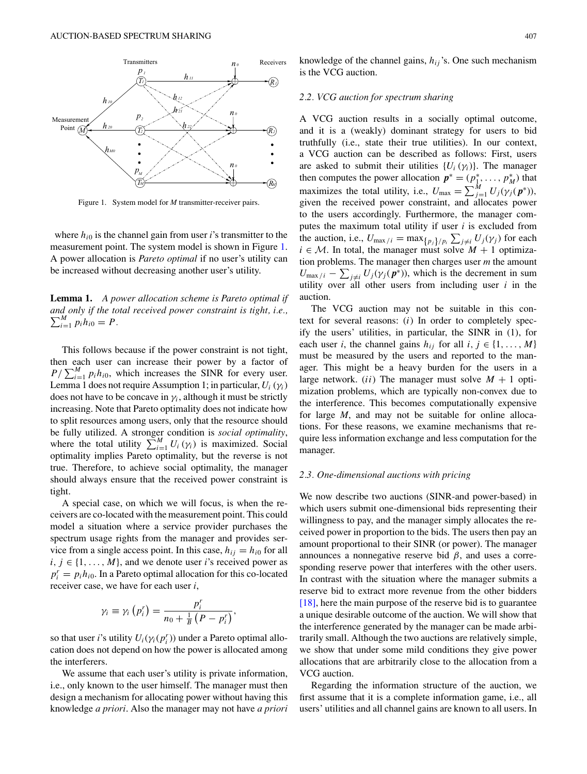<span id="page-2-0"></span>

Figure 1. System model for *M* transmitter-receiver pairs.

where  $h_{i0}$  is the channel gain from user *i*'s transmitter to the measurement point. The system model is shown in Figure [1.](#page-2-0) A power allocation is *Pareto optimal* if no user's utility can be increased without decreasing another user's utility.

**Lemma 1.** *A power allocation scheme is Pareto optimal if and only if the total received power constraint is tight, i.e.,*  $\sum_{i=1}^{M} p_i h_{i0} = P.$ 

This follows because if the power constraint is not tight, then each user can increase their power by a factor of  $P / \sum_{i=1}^{M} p_i h_{i0}$ , which increases the SINR for every user. Lemma 1 does not require Assumption 1; in particular,  $U_i(\gamma_i)$ does not have to be concave in  $\gamma$ ; although it must be strictly increasing. Note that Pareto optimality does not indicate how to split resources among users, only that the resource should be fully utilized. A stronger condition is *social optimality*, where the total utility  $\sum_{i=1}^{M} U_i(\gamma_i)$  is maximized. Social optimality implies Pareto optimality, but the reverse is not true. Therefore, to achieve social optimality, the manager should always ensure that the received power constraint is tight.

A special case, on which we will focus, is when the receivers are co-located with the measurement point. This could model a situation where a service provider purchases the spectrum usage rights from the manager and provides service from a single access point. In this case,  $h_{ij} = h_{i0}$  for all  $i, j \in \{1, \ldots, M\}$ , and we denote user *i*'s received power as  $p_i^r = p_i h_{i0}$ . In a Pareto optimal allocation for this co-located receiver case, we have for each user *i*,

$$
\gamma_i \equiv \gamma_i \left( p_i^r \right) = \frac{p_i^r}{n_0 + \frac{1}{B} \left( P - p_i^r \right)},
$$

so that user *i*'s utility  $U_i(\gamma_i(p_i^r))$  under a Pareto optimal allocation does not depend on how the power is allocated among the interferers.

We assume that each user's utility is private information. i.e., only known to the user himself. The manager must then design a mechanism for allocating power without having this knowledge *a priori*. Also the manager may not have *a priori* knowledge of the channel gains,  $h_{ij}$ 's. One such mechanism is the VCG auction.

# *2.2. VCG auction for spectrum sharing*

A VCG auction results in a socially optimal outcome, and it is a (weakly) dominant strategy for users to bid truthfully (i.e., state their true utilities). In our context, a VCG auction can be described as follows: First, users are asked to submit their utilities  $\{U_i(\gamma_i)\}\)$ . The manager then computes the power allocation  $p^* = (p_1^*, \dots, p_M^*)$  that maximizes the total utility, i.e.,  $U_{\text{max}} = \sum_{j=1}^{M} U_j(\gamma_j(\boldsymbol{p}^*)),$ given the received power constraint, and allocates power to the users accordingly. Furthermore, the manager computes the maximum total utility if user *i* is excluded from the auction, i.e.,  $U_{\max/i} = \max_{\{p_j\}/p_i} \sum_{j \neq i} U_j(\gamma_j)$  for each  $i \in \mathcal{M}$ . In total, the manager must solve  $M + 1$  optimization problems. The manager then charges user *m* the amount  $U_{\text{max}/i} - \sum_{j \neq i} U_j(\gamma_j(\boldsymbol{p}^*))$ , which is the decrement in sum utility over all other users from including user  $i$  in the auction.

The VCG auction may not be suitable in this context for several reasons: (*i*) In order to completely specify the users' utilities, in particular, the SINR in (1), for each user *i*, the channel gains  $h_{ij}$  for all  $i, j \in \{1, \ldots, M\}$ must be measured by the users and reported to the manager. This might be a heavy burden for the users in a large network. (*ii*) The manager must solve  $M + 1$  optimization problems, which are typically non-convex due to the interference. This becomes computationally expensive for large *M*, and may not be suitable for online allocations. For these reasons, we examine mechanisms that require less information exchange and less computation for the manager.

## *2.3. One-dimensional auctions with pricing*

We now describe two auctions (SINR-and power-based) in which users submit one-dimensional bids representing their willingness to pay, and the manager simply allocates the received power in proportion to the bids. The users then pay an amount proportional to their SINR (or power). The manager announces a nonnegative reserve bid  $\beta$ , and uses a corresponding reserve power that interferes with the other users. In contrast with the situation where the manager submits a reserve bid to extract more revenue from the other bidders [\[18\],](#page-12-13) here the main purpose of the reserve bid is to guarantee a unique desirable outcome of the auction. We will show that the interference generated by the manager can be made arbitrarily small. Although the two auctions are relatively simple, we show that under some mild conditions they give power allocations that are arbitrarily close to the allocation from a VCG auction.

Regarding the information structure of the auction, we first assume that it is a complete information game, i.e., all users' utilities and all channel gains are known to all users. In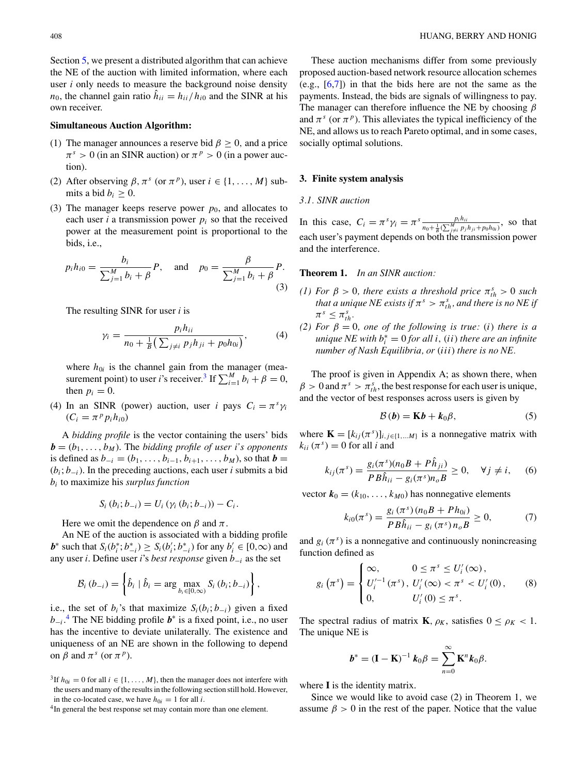Section [5,](#page-6-0) we present a distributed algorithm that can achieve the NE of the auction with limited information, where each user *i* only needs to measure the background noise density  $n_0$ , the channel gain ratio  $\hat{h}_{ii} = h_{ii}/h_{i0}$  and the SINR at his own receiver.

# **Simultaneous Auction Algorithm:**

- (1) The manager announces a reserve bid  $\beta \geq 0$ , and a price  $\pi^{s} > 0$  (in an SINR auction) or  $\pi^{p} > 0$  (in a power auction).
- (2) After observing  $\beta$ ,  $\pi^s$  (or  $\pi^p$ ), user  $i \in \{1, ..., M\}$  submits a bid  $b_i \geq 0$ .
- (3) The manager keeps reserve power  $p_0$ , and allocates to each user  $i$  a transmission power  $p_i$  so that the received power at the measurement point is proportional to the bids, i.e.,

<span id="page-3-3"></span>
$$
p_i h_{i0} = \frac{b_i}{\sum_{j=1}^M b_i + \beta} P
$$
, and  $p_0 = \frac{\beta}{\sum_{j=1}^M b_i + \beta} P$ . (3)

The resulting SINR for user *i* is

$$
\gamma_i = \frac{p_i h_{ii}}{n_0 + \frac{1}{B} \left( \sum_{j \neq i} p_j h_{ji} + p_0 h_{0i} \right)},\tag{4}
$$

<span id="page-3-4"></span>where  $h_{0i}$  is the channel gain from the manager (measurement point) to user *i*'s receiver.<sup>[3](#page-3-0)</sup> If  $\sum_{i=1}^{M} b_i + \beta = 0$ , then  $p_i = 0$ .

(4) In an SINR (power) auction, user *i* pays  $C_i = \pi^s \gamma_i$  $(C_i = \pi^p p_i h_{i0})$ 

A *bidding profile* is the vector containing the users' bids  $\mathbf{b} = (b_1, \ldots, b_M)$ . The *bidding profile of user i's opponents* is defined as  $b_{-i} = (b_1, ..., b_{i-1}, b_{i+1}, ..., b_M)$ , so that *b* = (*bi*; *b*<sup>−</sup>*i*). In the preceding auctions, each user *i* submits a bid *bi* to maximize his *surplus function*

$$
S_i(b_i; b_{-i}) = U_i(\gamma_i(b_i; b_{-i})) - C_i.
$$

Here we omit the dependence on  $\beta$  and  $\pi$ .

An NE of the auction is associated with a bidding profile *<i>b*<sup>∗</sup> such that *S<sub>i</sub>*(*b*<sup>\*</sup><sub>i</sub></sub>; *b*<sup>\*</sup><sub>*i*</sub></sup>) ≥ *S<sub>i</sub>*(*b*<sup>/</sup><sub>i</sub></sub>; *b*<sup>\*</sup><sub>*i*</sub>) for any *b*<sup>/</sup><sub>i</sub></sub> ∈ [0,∞) and any user *i*. Define user *i*'s *best response* given *b*<sup>−</sup>*<sup>i</sup>* as the set

$$
\mathcal{B}_{i}\left(b_{-i}\right) = \left\{\hat{b}_{i} \mid \hat{b}_{i} = \arg \max_{b_{i} \in [0, \infty)} S_{i}\left(b_{i}; b_{-i}\right)\right\},\
$$

i.e., the set of  $b_i$ 's that maximize  $S_i(b_i; b_{-i})$  given a fixed *b*<sup>−*i*</sup>.<sup>[4](#page-3-1)</sup> The NE bidding profile *b*<sup>∗</sup> is a fixed point, i.e., no user has the incentive to deviate unilaterally. The existence and uniqueness of an NE are shown in the following to depend on  $\beta$  and  $\pi^s$  (or  $\pi^p$ ).

These auction mechanisms differ from some previously proposed auction-based network resource allocation schemes (e.g., [\[6](#page-12-5)[,7\]](#page-12-14)) in that the bids here are not the same as the payments. Instead, the bids are signals of willingness to pay. The manager can therefore influence the NE by choosing *β* and  $\pi^s$  (or  $\pi^p$ ). This alleviates the typical inefficiency of the NE, and allows us to reach Pareto optimal, and in some cases, socially optimal solutions.

#### **3. Finite system analysis**

#### *3.1. SINR auction*

In this case,  $C_i = \pi^s \gamma_i = \pi^s \frac{p_i h_{ii}}{n_0 + \frac{1}{B} (\sum_{j \neq i}^M p_j h_{ji} + p_0 h_{0i})}$ , so that each user's payment depends on both the transmission power and the interference.

# **Theorem 1.** *In an SINR auction:*

- *(1) For*  $\beta > 0$ *, there exists a threshold price*  $\pi_{th}^s > 0$  *such that a unique NE exists if*  $\pi^s > \pi^s_{th}$ *, and there is no NE if*  $\pi^s \leq \pi^s_{th}$ .
- *(2) For*  $\beta = 0$ *, one of the following is true: (i) there is a unique NE with*  $b_i^* = 0$  *for all i*, (*ii*) *there are an infinite number of Nash Equilibria, or* (*iii*) *there is no NE.*

The proof is given in Appendix A; as shown there, when  $\beta > 0$  and  $\pi^s > \pi^s_{th}$ , the best response for each user is unique, and the vector of best responses across users is given by

$$
\mathcal{B}(\boldsymbol{b}) = \mathbf{K}\boldsymbol{b} + \boldsymbol{k}_0 \boldsymbol{\beta},\tag{5}
$$

<span id="page-3-2"></span>where  $\mathbf{K} = [k_{ij}(\pi^s)]_{i,j \in \{1,...M\}}$  is a nonnegative matrix with  $k_{ii}$  ( $\pi$ <sup>*s*</sup>) = 0 for all *i* and

$$
k_{ij}(\pi^s) = \frac{g_i(\pi^s)(n_0B + P\hat{h}_{ji})}{PB\hat{h}_{ii} - g_i(\pi^s)n_0B} \ge 0, \quad \forall j \ne i,
$$
 (6)

<span id="page-3-5"></span>vector  $\mathbf{k}_0 = (k_{10}, \ldots, k_{M0})$  has nonnegative elements

$$
k_{i0}(\pi^s) = \frac{g_i(\pi^s)(n_0B + Ph_{0i})}{PB\hat{h}_{ii} - g_i(\pi^s)n_0B} \ge 0,
$$
 (7)

<span id="page-3-6"></span>and  $g_i(\pi^s)$  is a nonnegative and continuously nonincreasing function defined as

$$
g_i(\pi^s) = \begin{cases} \infty, & 0 \le \pi^s \le U'_i(\infty), \\ U'_i^{(-1)}(\pi^s), U'_i(\infty) < \pi^s < U'_i(0), \\ 0, & U'_i(0) \le \pi^s. \end{cases} \tag{8}
$$

<span id="page-3-7"></span>The spectral radius of matrix **K***,*  $\rho_K$ *, satisfies*  $0 \leq \rho_K < 1$ . The unique NE is

$$
\boldsymbol{b}^* = (\mathbf{I} - \mathbf{K})^{-1} \boldsymbol{k}_0 \boldsymbol{\beta} = \sum_{n=0}^{\infty} \mathbf{K}^n \boldsymbol{k}_0 \boldsymbol{\beta}.
$$

where **I** is the identity matrix.

Since we would like to avoid case (2) in Theorem 1*,* we assume  $\beta > 0$  in the rest of the paper. Notice that the value

<span id="page-3-0"></span><sup>&</sup>lt;sup>3</sup>If  $h_{0i} = 0$  for all  $i \in \{1, ..., M\}$ , then the manager does not interfere with the users and many of the results in the following section still hold. However, in the co-located case, we have  $h_{0i} = 1$  for all *i*.<br><sup>4</sup>In general the best response set may contain more than one element.

<span id="page-3-1"></span>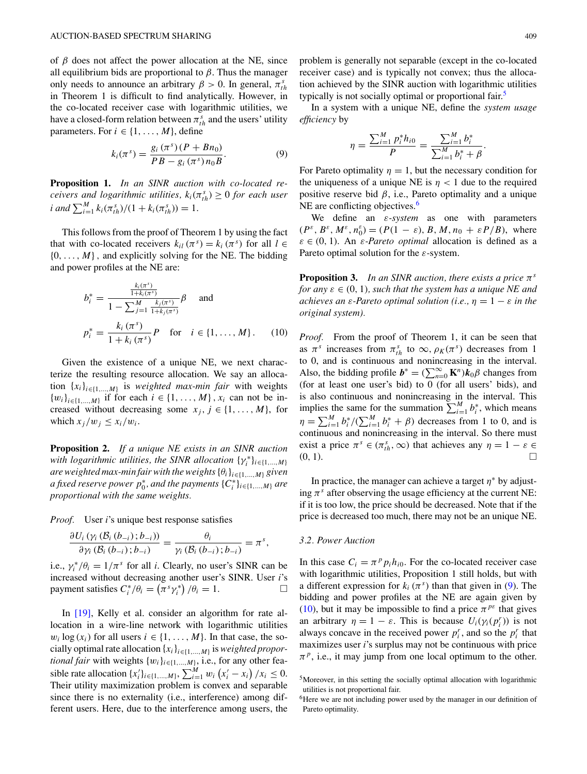of  $\beta$  does not affect the power allocation at the NE, since all equilibrium bids are proportional to *β*. Thus the manager only needs to announce an arbitrary  $\beta > 0$ . In general,  $\pi_h^s$ in Theorem 1 is difficult to find analytically. However, in the co-located receiver case with logarithmic utilities, we have a closed-form relation between  $\pi_{th}^s$  and the users' utility parameters. For  $i \in \{1, \ldots, M\}$ , define

$$
k_i(\pi^s) = \frac{g_i(\pi^s)(P + Bn_0)}{PB - g_i(\pi^s)n_0B}.
$$
 (9)

<span id="page-4-2"></span>**Proposition 1.** *In an SINR auction with co-located receivers and logarithmic utilities,*  $k_i(\pi_{th}^s) \geq 0$  *for each user*  $i$  and  $\sum_{i=1}^{M} k_i(\pi_{th}^s)/(1 + k_i(\pi_{th}^s)) = 1.$ 

This follows from the proof of Theorem 1 by using the fact that with co-located receivers  $k_{il}(\pi^s) = k_i(\pi^s)$  for all  $l \in$ {0*,...,M*}*,* and explicitly solving for the NE. The bidding and power profiles at the NE are:

$$
b_i^* = \frac{\frac{k_i(\pi^s)}{1 + k_i(\pi^s)}}{1 - \sum_{j=1}^M \frac{k_j(\pi^s)}{1 + k_j(\pi^s)}} \beta \quad \text{and}
$$
  

$$
p_i^* = \frac{k_i(\pi^s)}{1 + k_i(\pi^s)} P \quad \text{for} \quad i \in \{1, ..., M\}.
$$
 (10)

Given the existence of a unique NE, we next characterize the resulting resource allocation. We say an allocation  $\{x_i\}_{i \in \{1,\ldots,M\}}$  is *weighted max-min fair* with weights { $w_i$ }<sub>*i*∈{1*,...,M*} if for each *i* ∈ {1*, ..., M*}*, x<sub>i</sub>* can not be in-</sub> creased without decreasing some  $x_j$ ,  $j \in \{1, ..., M\}$ , for which  $x_j/w_j \leq x_i/w_i$ .

**Proposition 2.** *If a unique NE exists in an SINR auction with logarithmic utilities, the SINR allocation*  $\{\gamma_i^*\}_{i \in \{1,\dots,M\}}$ *are weighted max-min fair with the weights*  $\{\theta_i\}_{i \in \{1,\ldots,M\}}$  *given a fixed reserve power*  $p_0^*$ *, and the payments*  $\{C_i^*\}_{i\in\{1,\ldots,M\}}$  are *proportional with the same weights.*

*Proof.* User *i*'s unique best response satisfies

$$
\frac{\partial U_i(\gamma_i(\mathcal{B}_i(b_{-i});b_{-i}))}{\partial \gamma_i(\mathcal{B}_i(b_{-i});b_{-i})} = \frac{\theta_i}{\gamma_i(\mathcal{B}_i(b_{-i});b_{-i})} = \pi^s
$$

i.e.,  $\gamma_i^* / \theta_i = 1/\pi^s$  for all *i*. Clearly, no user's SINR can be increased without decreasing another user's SINR. User *i*'s payment satisfies  $C_i^* / \theta_i = (\pi^s \gamma_i^*) / \theta_i = 1$ .

In [\[19\],](#page-12-15) Kelly et al. consider an algorithm for rate allocation in a wire-line network with logarithmic utilities  $w_i \log(x_i)$  for all users  $i \in \{1, \ldots, M\}$ . In that case, the socially optimal rate allocation  $\{x_i\}_{i \in \{1,\ldots,M\}}$  is *weighted proportional fair* with weights  $\{w_i\}_{i \in \{1,\ldots,M\}}$ , i.e., for any other feasible rate allocation  $\{x_i'\}_{i \in \{1, ..., M\}}$ ,  $\sum_{i=1}^{M} w_i (x_i' - x_i) / x_i \leq 0$ . Their utility maximization problem is convex and separable since there is no externality (i.e., interference) among different users. Here, due to the interference among users, the problem is generally not separable (except in the co-located receiver case) and is typically not convex; thus the allocation achieved by the SINR auction with logarithmic utilities typically is not socially optimal or proportional fair.<sup>5</sup>

In a system with a unique NE, define the *system usage efficiency* by

$$
\eta = \frac{\sum_{i=1}^{M} p_i^* h_{i0}}{P} = \frac{\sum_{i=1}^{M} b_i^*}{\sum_{i=1}^{M} b_i^* + \beta}.
$$

For Pareto optimality  $\eta = 1$ , but the necessary condition for the uniqueness of a unique NE is  $\eta$  < 1 due to the required positive reserve bid  $\beta$ , i.e., Pareto optimality and a unique NE are conflicting objectives.<sup>[6](#page-4-1)</sup>

We define an *ε-system* as one with parameters  $(P^{\varepsilon}, B^{\varepsilon}, M^{\varepsilon}, n_0^{\varepsilon}) = (P(1 - \varepsilon), B, M, n_0 + \varepsilon P/B)$ , where  $\varepsilon \in (0, 1)$ *.* An  $\varepsilon$ *-Pareto optimal* allocation is defined as a Pareto optimal solution for the *ε-*system.

<span id="page-4-3"></span>**Proposition 3.** *In an SINR auction, there exists a price π<sup>s</sup> for any*  $\varepsilon \in (0, 1)$ *, such that the system has a unique NE and achieves an ε-Pareto optimal solution (i.e., η* = 1 − *ε in the original system).*

*Proof.* From the proof of Theorem 1, it can be seen that as  $\pi^s$  increases from  $\pi^s_{th}$  to  $\infty$ ,  $\rho_K(\pi^s)$  decreases from 1 to 0, and is continuous and nonincreasing in the interval. Also, the bidding profile  $b^* = (\sum_{n=0}^{\infty} \mathbf{K}^n) \mathbf{k}_0 \beta$  changes from (for at least one user's bid) to 0 (for all users' bids), and is also continuous and nonincreasing in the interval. This implies the same for the summation  $\sum_{i=1}^{M} b_i^*$ , which means  $\eta = \sum_{i=1}^{M} b_i^* / (\sum_{i=1}^{M} b_i^* + \beta)$  decreases from 1 to 0, and is continuous and nonincreasing in the interval. So there must exist a price  $\pi^s \in (\pi^s_{th}, \infty)$  that achieves any  $\eta = 1 - \varepsilon \in$ (0*,* 1).

In practice, the manager can achieve a target  $\eta^*$  by adjusting  $\pi^s$  after observing the usage efficiency at the current NE: if it is too low, the price should be decreased. Note that if the price is decreased too much, there may not be an unique NE.

## *3.2. Power Auction*

*,*

In this case  $C_i = \pi^p p_i h_{i0}$ . For the co-located receiver case with logarithmic utilities, Proposition 1 still holds, but with a different expression for  $k_i$  ( $\pi$ <sup>*s*</sup>) than that given in [\(9\)](#page-4-2). The bidding and power profiles at the NE are again given by [\(10\)](#page-4-3), but it may be impossible to find a price  $\pi^{p\epsilon}$  that gives an arbitrary  $\eta = 1 - \varepsilon$ . This is because  $U_i(\gamma_i(p_i^r))$  is not always concave in the received power  $p_i^r$ , and so the  $p_i^r$  that maximizes user *i*'s surplus may not be continuous with price  $\pi^p$ , i.e., it may jump from one local optimum to the other.

<span id="page-4-0"></span><sup>5</sup>Moreover, in this setting the socially optimal allocation with logarithmic utilities is not proportional fair.

<span id="page-4-1"></span><sup>&</sup>lt;sup>6</sup>Here we are not including power used by the manager in our definition of Pareto optimality.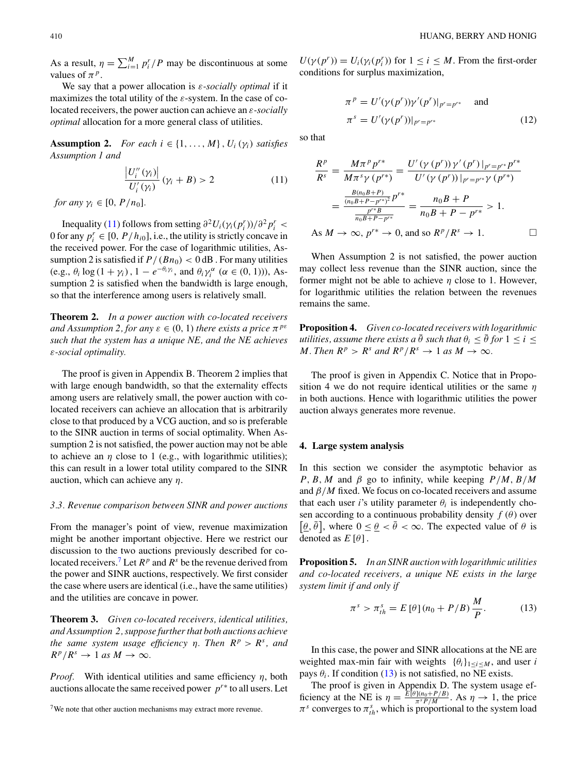As a result,  $\eta = \sum_{i=1}^{M} p_i^r / P$  may be discontinuous at some values of  $\pi^p$ .

We say that a power allocation is *ε-socially optimal* if it maximizes the total utility of the *ε*-system. In the case of colocated receivers, the power auction can achieve an *ε-socially optimal* allocation for a more general class of utilities.

**Assumption 2.** *For each*  $i \in \{1, \ldots, M\}$ ,  $U_i(\gamma_i)$  *satisfies Assumption 1 and*

$$
\frac{\left|U_i''(\gamma_i)\right|}{U_i'(\gamma_i)}(\gamma_i+B)>2\tag{11}
$$

<span id="page-5-0"></span>*for any*  $\gamma_i \in [0, P/n_0]$ *.* 

Inequality [\(11\)](#page-5-0) follows from setting  $\partial^2 U_i(\gamma_i(p_i^r))/\partial^2 p_i^r$  < 0 for any  $p_i^r \in [0, P/h_{i0}],$  i.e., the utility is strictly concave in the received power. For the case of logarithmic utilities, Assumption 2 is satisfied if  $P/(Bn_0) < 0$  dB. For many utilities  $(e.g., \theta_i \log(1 + \gamma_i), 1 - e^{-\theta_i \gamma_i})$ , and  $\theta_i \gamma_i^{\alpha} \ (\alpha \in (0, 1))$ , Assumption 2 is satisfied when the bandwidth is large enough, so that the interference among users is relatively small.

**Theorem 2.** *In a power auction with co-located receivers and Assumption 2, for any*  $\varepsilon \in (0, 1)$  *there exists a price*  $\pi^{p\epsilon}$ *such that the system has a unique NE, and the NE achieves ε-social optimality.*

The proof is given in Appendix B. Theorem 2 implies that with large enough bandwidth, so that the externality effects among users are relatively small, the power auction with colocated receivers can achieve an allocation that is arbitrarily close to that produced by a VCG auction, and so is preferable to the SINR auction in terms of social optimality. When Assumption 2 is not satisfied, the power auction may not be able to achieve an  $\eta$  close to 1 (e.g., with logarithmic utilities); this can result in a lower total utility compared to the SINR auction, which can achieve any *η*.

# *3.3. Revenue comparison between SINR and power auctions*

From the manager's point of view, revenue maximization might be another important objective. Here we restrict our discussion to the two auctions previously described for colocated receivers.<sup>7</sup> Let  $R^p$  and  $R^s$  be the revenue derived from the power and SINR auctions, respectively. We first consider the case where users are identical (i.e., have the same utilities) and the utilities are concave in power.

**Theorem 3.** *Given co-located receivers, identical utilities, and Assumption 2, suppose further that both auctions achieve the same system usage efficiency η. Then R<sup>p</sup> > R<sup>s</sup>, and*  $R^p/R^s \rightarrow 1$  *as*  $M \rightarrow \infty$ *.* 

*Proof.* With identical utilities and same efficiency *η*, both auctions allocate the same received power  $p^{r*}$  to all users. Let

 $U(\gamma(p^r)) = U_i(\gamma_i(p_i^r))$  for  $1 \le i \le M$ . From the first-order conditions for surplus maximization,

$$
\pi^{p} = U'(\gamma(p^{r}))\gamma'(p^{r})|_{p^{r}=p^{r*}} \quad \text{and}
$$

$$
\pi^{s} = U'(\gamma(p^{r}))|_{p^{r}=p^{r*}} \tag{12}
$$

so that

$$
\frac{R^p}{R^s} = \frac{M\pi^p p^{r*}}{M\pi^s \gamma (p^{r*})} = \frac{U'(\gamma (p^r)) \gamma' (p^r)|_{p^r = p^{r*}} p^{r*}}{U'(\gamma (p^r))|_{p^r = p^{r*}} \gamma (p^{r*})}
$$

$$
= \frac{\frac{B(n_0B + P)}{(n_0B + P - p^{r*})^2} p^{r*}}{\frac{p^{r*}B}{n_0B + P - p^{r*}}} = \frac{n_0B + P}{n_0B + P - p^{r*}} > 1.
$$
As  $M \to \infty$ ,  $p^{r*} \to 0$ , and so  $R^p/R^s \to 1$ .

When Assumption 2 is not satisfied, the power auction may collect less revenue than the SINR auction, since the former might not be able to achieve *η* close to 1. However, for logarithmic utilities the relation between the revenues remains the same.

**Proposition 4.** *Given co-located receivers with logarithmic utilities, assume there exists a*  $\bar{\theta}$  *such that*  $\theta_i \leq \bar{\theta}$  *for*  $1 \leq i \leq$ *M. Then*  $R^p > R^s$  *and*  $R^p/R^s \rightarrow 1$  *as*  $M \rightarrow \infty$ *.* 

The proof is given in Appendix C. Notice that in Proposition 4 we do not require identical utilities or the same *η* in both auctions. Hence with logarithmic utilities the power auction always generates more revenue.

#### <span id="page-5-3"></span>**4. Large system analysis**

In this section we consider the asymptotic behavior as *P, B, M* and  $\beta$  go to infinity, while keeping  $P/M$ ,  $B/M$ and  $\beta/M$  fixed. We focus on co-located receivers and assume that each user *i*'s utility parameter  $\theta_i$  is independently chosen according to a continuous probability density *f* (*θ*) over  $\left[\frac{\theta}{\theta}, \bar{\theta}\right]$ , where  $0 \leq \theta < \bar{\theta} < \infty$ . The expected value of  $\theta$  is denoted as  $E[\theta]$ .

**Proposition 5.** *In an SINR auction with logarithmic utilities and co-located receivers, a unique NE exists in the large system limit if and only if*

$$
\pi^{s} > \pi_{th}^{s} = E[\theta](n_{0} + P/B)\frac{M}{P}.
$$
 (13)

<span id="page-5-2"></span>In this case, the power and SINR allocations at the NE are weighted max-min fair with weights  $\{\theta_i\}_{1 \le i \le M}$ , and user *i* pays  $\theta_i$ . If condition [\(13\)](#page-5-2) is not satisfied, no NE exists.

The proof is given in Appendix D. The system usage efficiency at the NE is  $\eta = \frac{E[\theta](n_0 + P/B)}{\pi^s P/M}$ . As  $\eta \to 1$ , the price  $\pi^s$  converges to  $\pi^s_{th}$ , which is proportional to the system load

<span id="page-5-1"></span><sup>7</sup>We note that other auction mechanisms may extract more revenue.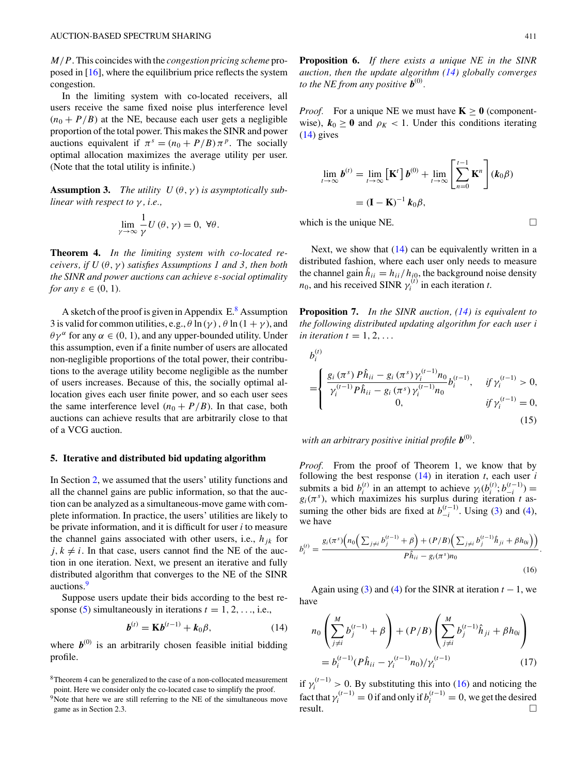*M/P*. This coincides with the *congestion pricing scheme* proposed in [\[16\]](#page-12-11), where the equilibrium price reflects the system congestion.

In the limiting system with co-located receivers, all users receive the same fixed noise plus interference level  $(n_0 + P/B)$  at the NE, because each user gets a negligible proportion of the total power. This makes the SINR and power auctions equivalent if  $\pi^{s} = (n_0 + P/B)\pi^{p}$ . The socially optimal allocation maximizes the average utility per user. (Note that the total utility is infinite.)

**Assumption 3.** *The utility*  $U(\theta, \gamma)$  *is asymptotically sublinear with respect to γ , i.e.,*

$$
\lim_{\gamma \to \infty} \frac{1}{\gamma} U(\theta, \gamma) = 0, \ \forall \theta.
$$

**Theorem 4.** *In the limiting system with co-located receivers, if U* (*θ,γ* ) *satisfies Assumptions 1 and 3, then both the SINR and power auctions can achieve ε-social optimality for any*  $\varepsilon \in (0, 1)$ *.* 

A sketch of the proof is given in Appendix  $E^8$  Assumption 3 is valid for common utilities, e.g.,  $\theta \ln(\gamma)$ ,  $\theta \ln(1 + \gamma)$ , and  $\theta \gamma^{\alpha}$  for any  $\alpha \in (0, 1)$ , and any upper-bounded utility. Under this assumption, even if a finite number of users are allocated non-negligible proportions of the total power, their contributions to the average utility become negligible as the number of users increases. Because of this, the socially optimal allocation gives each user finite power, and so each user sees the same interference level  $(n_0 + P/B)$ . In that case, both auctions can achieve results that are arbitrarily close to that of a VCG auction.

#### <span id="page-6-0"></span>**5. Iterative and distributed bid updating algorithm**

In Section [2,](#page-1-2) we assumed that the users' utility functions and all the channel gains are public information, so that the auction can be analyzed as a simultaneous-move game with complete information. In practice, the users' utilities are likely to be private information, and it is difficult for user *i* to measure the channel gains associated with other users, i.e.,  $h_{ik}$  for  $j, k \neq i$ . In that case, users cannot find the NE of the auction in one iteration. Next, we present an iterative and fully distributed algorithm that converges to the NE of the SINR auctions.[9](#page-6-2)

Suppose users update their bids according to the best re-sponse [\(5\)](#page-3-2) simultaneously in iterations  $t = 1, 2, \ldots, i.e.,$ 

$$
\boldsymbol{b}^{(t)} = \mathbf{K}\boldsymbol{b}^{(t-1)} + \boldsymbol{k}_0\boldsymbol{\beta},\tag{14}
$$

<span id="page-6-3"></span>where  $\mathbf{b}^{(0)}$  is an arbitrarily chosen feasible initial bidding profile.

**Proposition 6.** *If there exists a unique NE in the SINR auction, then the update algorithm [\(14\)](#page-6-3) globally converges to the NE from any positive*  $b^{(0)}$ .

*Proof.* For a unique NE we must have  $K \ge 0$  (componentwise),  $k_0 \ge 0$  and  $\rho_K < 1$ . Under this conditions iterating  $(14)$  gives

$$
\lim_{t \to \infty} \boldsymbol{b}^{(t)} = \lim_{t \to \infty} \left[ \mathbf{K}^t \right] \boldsymbol{b}^{(0)} + \lim_{t \to \infty} \left[ \sum_{n=0}^{t-1} \mathbf{K}^n \right] (k_0 \beta)
$$

$$
= (\mathbf{I} - \mathbf{K})^{-1} k_0 \beta,
$$

which is the unique NE.  $\Box$ 

 $b^{(t)}$ 

Next, we show that  $(14)$  can be equivalently written in a distributed fashion, where each user only needs to measure the channel gain  $\hat{h}_{ii} = h_{ii}/h_{i0}$ , the background noise density *n*<sub>0</sub>, and his received SINR  $\gamma_i^{(t)}$  in each iteration *t*.

**Proposition 7.** *In the SINR auction, [\(14\)](#page-6-3) is equivalent to the following distributed updating algorithm for each user i*  $int$  *in iteration*  $t = 1, 2, \ldots$ 

$$
= \begin{cases} \frac{g_i(\pi^s) P \hat{h}_{ii} - g_i(\pi^s) \gamma_i^{(t-1)} n_0}{\gamma_i^{(t-1)} P \hat{h}_{ii} - g_i(\pi^s) \gamma_i^{(t-1)} n_0} b_i^{(t-1)}, & \text{if } \gamma_i^{(t-1)} > 0, \\ 0, & \text{if } \gamma_i^{(t-1)} = 0, \end{cases} \tag{15}
$$

with an arbitrary positive initial profile  $\boldsymbol{b}^{(0)}$ .

*Proof.* From the proof of Theorem 1, we know that by following the best response  $(14)$  in iteration *t*, each user *i* submits a bid  $b_i^{(t)}$  in an attempt to achieve  $\gamma_i(b_i^{(t)}; b_{-i}^{(t-1)}) =$  $g_i(\pi^s)$ , which maximizes his surplus during iteration *t* assuming the other bids are fixed at  $b_{-i}^{(t-1)}$ . Using [\(3\)](#page-3-3) and [\(4\)](#page-3-4), we have

$$
b_i^{(t)} = \frac{g_i(\pi^s) \left(n_0 \left(\sum_{j \neq i} b_j^{(t-1)} + \beta\right) + (P/B) \left(\sum_{j \neq i} b_j^{(t-1)} \hat{h}_{ji} + \beta h_{0i}\right)\right)}{P \hat{h}_{ii} - g_i(\pi^s) n_0}
$$
(16)

Again using [\(3\)](#page-3-3) and [\(4\)](#page-3-4) for the SINR at iteration  $t - 1$ , we have

$$
n_0 \left( \sum_{j \neq i}^{M} b_j^{(t-1)} + \beta \right) + (P/B) \left( \sum_{j \neq i}^{M} b_j^{(t-1)} \hat{h}_{ji} + \beta h_{0i} \right)
$$
  
=  $b_i^{(t-1)} (P \hat{h}_{ii} - \gamma_i^{(t-1)} n_0) / \gamma_i^{(t-1)}$  (17)

if  $\gamma_i^{(t-1)} > 0$ . By substituting this into [\(16\)](#page-6-4) and noticing the fact that  $\gamma_i^{(t-1)} = 0$  if and only if  $b_i^{(t-1)} = 0$ , we get the desired  $\Box$ result.  $\Box$ 

<span id="page-6-5"></span>

<span id="page-6-4"></span>*.*

<span id="page-6-1"></span><sup>8</sup>Theorem 4 can be generalized to the case of a non-collocated measurement point. Here we consider only the co-located case to simplify the proof.

<span id="page-6-2"></span><sup>&</sup>lt;sup>9</sup>Note that here we are still referring to the NE of the simultaneous move game as in Section 2.3.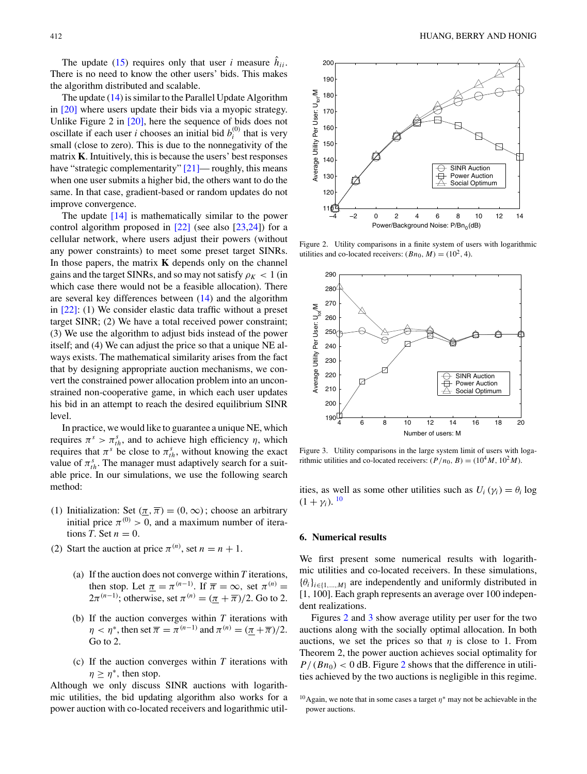The update [\(15\)](#page-6-5) requires only that user *i* measure  $\hat{h}_{ii}$ . There is no need to know the other users' bids. This makes the algorithm distributed and scalable.

The update [\(14\)](#page-6-3) is similar to the Parallel Update Algorithm in [\[20\]](#page-12-16) where users update their bids via a myopic strategy. Unlike Figure 2 in [\[20\],](#page-12-16) here the sequence of bids does not oscillate if each user *i* chooses an initial bid  $b_i^{(0)}$  that is very small (close to zero). This is due to the nonnegativity of the matrix **K**. Intuitively, this is because the users' best responses have "strategic complementarity" [\[21\]—](#page-12-17) roughly, this means when one user submits a higher bid, the others want to do the same. In that case, gradient-based or random updates do not improve convergence.

The update [\[14\]](#page-6-3) is mathematically similar to the power control algorithm proposed in [\[22\]](#page-12-18) (see also [\[23](#page-12-19)[,24\]](#page-12-20)) for a cellular network, where users adjust their powers (without any power constraints) to meet some preset target SINRs. In those papers, the matrix **K** depends only on the channel gains and the target SINRs, and so may not satisfy  $\rho_K < 1$  (in which case there would not be a feasible allocation). There are several key differences between [\(14\)](#page-6-3) and the algorithm in [\[22\]:](#page-12-18) (1) We consider elastic data traffic without a preset target SINR; (2) We have a total received power constraint; (3) We use the algorithm to adjust bids instead of the power itself; and (4) We can adjust the price so that a unique NE always exists. The mathematical similarity arises from the fact that by designing appropriate auction mechanisms, we convert the constrained power allocation problem into an unconstrained non-cooperative game, in which each user updates his bid in an attempt to reach the desired equilibrium SINR level.

In practice, we would like to guarantee a unique NE, which *requires*  $\pi^s > \pi^s_{th}$ , and to achieve high efficiency *η*, which requires that  $\pi^s$  be close to  $\pi^s_{th}$ , without knowing the exact value of  $\pi_h^s$ . The manager must adaptively search for a suitable price. In our simulations, we use the following search method:

- (1) Initialization: Set  $(\pi, \overline{\pi}) = (0, \infty)$ ; choose an arbitrary initial price  $\pi^{(0)} > 0$ , and a maximum number of iterations *T*. Set  $n = 0$ .
- (2) Start the auction at price  $\pi^{(n)}$ , set  $n = n + 1$ .
	- (a) If the auction does not converge within *T* iterations, then stop. Let  $\pi = \pi^{(n-1)}$ . If  $\overline{\pi} = \infty$ , set  $\pi^{(n)} =$  $2\pi^{(n-1)}$ ; otherwise, set  $\pi^{(n)} = (\pi + \overline{\pi})/2$ . Go to 2.
	- (b) If the auction converges within *T* iterations with  $\eta < \eta^*$ , then set  $\overline{\pi} = \pi^{(n-1)}$  and  $\pi^{(n)} = (\pi + \overline{\pi})/2$ . Go to 2.
	- (c) If the auction converges within *T* iterations with  $n > n^*$ , then stop.

Although we only discuss SINR auctions with logarithmic utilities, the bid updating algorithm also works for a power auction with co-located receivers and logarithmic util-

<span id="page-7-1"></span>

Figure 2. Utility comparisons in a finite system of users with logarithmic utilities and co-located receivers:  $(Bn_0, M) = (10^2, 4)$ .

<span id="page-7-2"></span>

Figure 3. Utility comparisons in the large system limit of users with logarithmic utilities and co-located receivers:  $(P/n_0, B) = (10^4 M, 10^2 M)$ .

ities, as well as some other utilities such as  $U_i(\gamma_i) = \theta_i \log$  $(1 + \gamma_i)$ . <sup>[10](#page-7-0)</sup>

## **6. Numerical results**

We first present some numerical results with logarithmic utilities and co-located receivers. In these simulations,  ${\theta_i}_{i \in \{1,...,M\}}$  are independently and uniformly distributed in [1*,* 100]. Each graph represents an average over 100 independent realizations.

Figures [2](#page-7-1) and [3](#page-7-2) show average utility per user for the two auctions along with the socially optimal allocation. In both auctions, we set the prices so that  $\eta$  is close to 1. From Theorem 2, the power auction achieves social optimality for  $P/(Bn_0) < 0$  dB. Figure [2](#page-7-1) shows that the difference in utilities achieved by the two auctions is negligible in this regime.

<span id="page-7-0"></span><sup>&</sup>lt;sup>10</sup>Again, we note that in some cases a target  $\eta^*$  may not be achievable in the power auctions.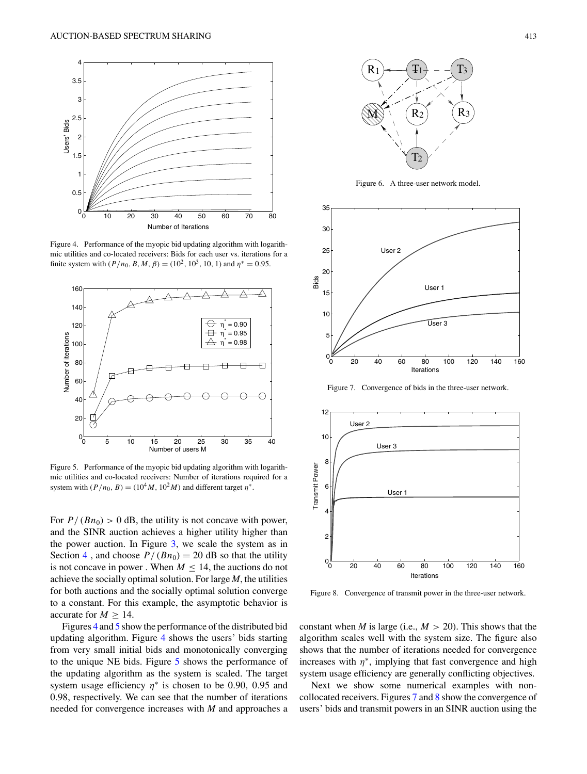<span id="page-8-0"></span>

Figure 4. Performance of the myopic bid updating algorithm with logarithmic utilities and co-located receivers: Bids for each user vs. iterations for a finite system with  $(P/n_0, B, M, \beta) = (10^2, 10^3, 10, 1)$  and  $\eta^* = 0.95$ .

<span id="page-8-1"></span>

Figure 5. Performance of the myopic bid updating algorithm with logarithmic utilities and co-located receivers: Number of iterations required for a system with  $(P/n_0, B) = (10^4 M, 10^2 M)$  and different target  $\eta^*$ .

For  $P/(Bn_0) > 0$  dB, the utility is not concave with power, and the SINR auction achieves a higher utility higher than the power auction. In Figure [3,](#page-7-2) we scale the system as in Section [4](#page-5-3), and choose  $P/(Bn_0) = 20$  dB so that the utility is not concave in power . When  $M \leq 14$ , the auctions do not achieve the socially optimal solution. For large *M*, the utilities for both auctions and the socially optimal solution converge to a constant. For this example, the asymptotic behavior is accurate for  $M > 14$ .

Figures [4](#page-8-0) and [5](#page-8-1) show the performance of the distributed bid updating algorithm. Figure [4](#page-8-0) shows the users' bids starting from very small initial bids and monotonically converging to the unique NE bids. Figure [5](#page-8-1) shows the performance of the updating algorithm as the system is scaled. The target system usage efficiency *η*<sup>∗</sup> is chosen to be 0*.*90*,* 0*.*95 and 0*.*98, respectively. We can see that the number of iterations needed for convergence increases with *M* and approaches a

<span id="page-8-4"></span>

Figure 6. A three-user network model.

<span id="page-8-2"></span>

Figure 7. Convergence of bids in the three-user network.

<span id="page-8-3"></span>

Figure 8. Convergence of transmit power in the three-user network.

constant when *M* is large (i.e.,  $M > 20$ ). This shows that the algorithm scales well with the system size. The figure also shows that the number of iterations needed for convergence increases with  $\eta^*$ , implying that fast convergence and high system usage efficiency are generally conflicting objectives.

Next we show some numerical examples with noncollocated receivers. Figures [7](#page-8-2) and [8](#page-8-3) show the convergence of users' bids and transmit powers in an SINR auction using the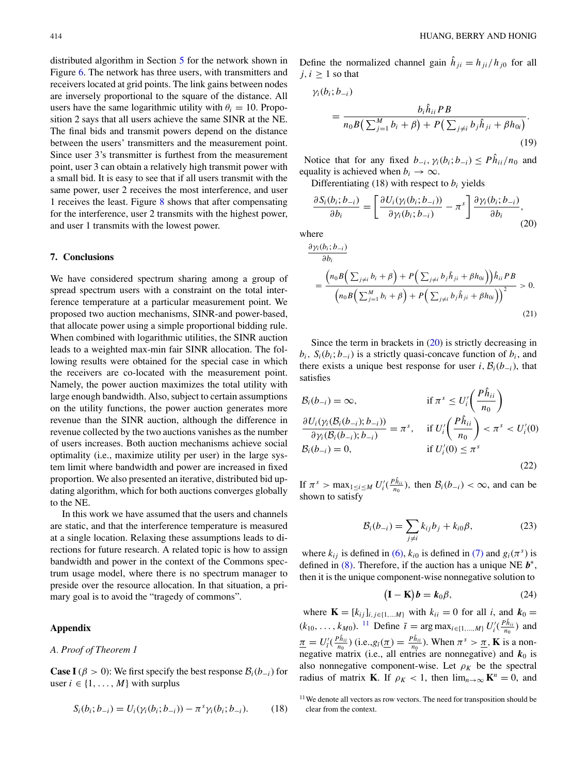distributed algorithm in Section [5](#page-6-0) for the network shown in Figure [6.](#page-8-4) The network has three users, with transmitters and receivers located at grid points. The link gains between nodes are inversely proportional to the square of the distance. All users have the same logarithmic utility with  $\theta_i = 10$ . Proposition 2 says that all users achieve the same SINR at the NE. The final bids and transmit powers depend on the distance between the users' transmitters and the measurement point. Since user 3's transmitter is furthest from the measurement point, user 3 can obtain a relatively high transmit power with a small bid. It is easy to see that if all users transmit with the same power, user 2 receives the most interference, and user 1 receives the least. Figure [8](#page-8-3) shows that after compensating for the interference, user 2 transmits with the highest power, and user 1 transmits with the lowest power.

#### **7. Conclusions**

We have considered spectrum sharing among a group of spread spectrum users with a constraint on the total interference temperature at a particular measurement point. We proposed two auction mechanisms, SINR-and power-based, that allocate power using a simple proportional bidding rule. When combined with logarithmic utilities, the SINR auction leads to a weighted max-min fair SINR allocation. The following results were obtained for the special case in which the receivers are co-located with the measurement point. Namely, the power auction maximizes the total utility with large enough bandwidth. Also, subject to certain assumptions on the utility functions, the power auction generates more revenue than the SINR auction, although the difference in revenue collected by the two auctions vanishes as the number of users increases. Both auction mechanisms achieve social optimality (i.e., maximize utility per user) in the large system limit where bandwidth and power are increased in fixed proportion. We also presented an iterative, distributed bid updating algorithm, which for both auctions converges globally to the NE.

In this work we have assumed that the users and channels are static, and that the interference temperature is measured at a single location. Relaxing these assumptions leads to directions for future research. A related topic is how to assign bandwidth and power in the context of the Commons spectrum usage model, where there is no spectrum manager to preside over the resource allocation. In that situation, a primary goal is to avoid the "tragedy of commons".

#### **Appendix**

#### *A. Proof of Theorem 1*

**Case I** ( $\beta > 0$ ): We first specify the best response  $\mathcal{B}_i(b_{-i})$  for user  $i \in \{1, \ldots, M\}$  with surplus

$$
S_i(b_i; b_{-i}) = U_i(\gamma_i(b_i; b_{-i})) - \pi^s \gamma_i(b_i; b_{-i}).
$$
 (18)

Define the normalized channel gain  $\hat{h}_{ji} = h_{ji}/h_{j0}$  for all  $j, i \geq 1$  so that

$$
\gamma_i(b_i; b_{-i}) = \frac{b_i \hat{h}_{ii} PB}{n_0 B(\sum_{j=1}^M b_i + \beta) + P(\sum_{j \neq i} b_j \hat{h}_{ji} + \beta h_{0i})}.
$$
\n(19)

Notice that for any fixed  $b_{-i}$ ,  $\gamma_i(b_i; b_{-i}) \leq P\hat{h}_{ii}/n_0$  and equality is achieved when  $b_i \rightarrow \infty$ .

Differentiating  $(18)$  with respect to  $b_i$  yields

$$
\frac{\partial S_i(b_i;b_{-i})}{\partial b_i} = \left[\frac{\partial U_i(\gamma_i(b_i;b_{-i}))}{\partial \gamma_i(b_i;b_{-i})} - \pi^s\right] \frac{\partial \gamma_i(b_i;b_{-i})}{\partial b_i},\tag{20}
$$

<span id="page-9-0"></span>where

$$
\frac{\partial \gamma_i(b_i; b_{-i})}{\partial b_i} = \frac{\left(n_0 B\left(\sum_{j \neq i} b_i + \beta\right) + P\left(\sum_{j \neq i} b_j \hat{h}_{ji} + \beta h_{0i}\right)\right) \hat{h}_{ii} P B}{\left(n_0 B\left(\sum_{j=1}^M b_i + \beta\right) + P\left(\sum_{j \neq i} b_j \hat{h}_{ji} + \beta h_{0i}\right)\right)^2} > 0.
$$
\n(21)

Since the term in brackets in  $(20)$  is strictly decreasing in  $b_i$ ,  $S_i(b_i; b_{-i})$  is a strictly quasi-concave function of  $b_i$ , and there exists a unique best response for user *i*,  $\mathcal{B}_i(b_{-i})$ , that satisfies

$$
\mathcal{B}_{i}(b_{-i}) = \infty, \qquad \text{if } \pi^{s} \le U'_{i}\left(\frac{P\hat{h}_{ii}}{n_{0}}\right)
$$

$$
\frac{\partial U_{i}(\gamma_{i}(\mathcal{B}_{i}(b_{-i}); b_{-i}))}{\partial \gamma_{i}(\mathcal{B}_{i}(b_{-i}); b_{-i})} = \pi^{s}, \qquad \text{if } U'_{i}\left(\frac{P\hat{h}_{ii}}{n_{0}}\right) < \pi^{s} < U'_{i}(0)
$$

$$
\text{if } U'_{i}(0) \le \pi^{s}
$$
\n
$$
(22)
$$

If  $\pi^s$  > max<sub>1≤*i*≤*M*</sub> *U*<sub>*i*</sub>'( $\frac{P\hat{h}_{ii}}{n_0}$ ), then  $B_i(b_{-i}) < \infty$ , and can be shown to satisfy

$$
\mathcal{B}_i(b_{-i}) = \sum_{j \neq i} k_{ij} b_j + k_{i0} \beta, \qquad (23)
$$

where  $k_{ij}$  is defined in [\(6\),](#page-3-5)  $k_{i0}$  is defined in [\(7\)](#page-3-6) and  $g_i(\pi^s)$  is defined in  $(8)$ . Therefore, if the auction has a unique NE  $b^*$ , then it is the unique component-wise nonnegative solution to

$$
(\mathbf{I} - \mathbf{K})b = k_0 \beta, \tag{24}
$$

where  $\mathbf{K} = [k_{ij}]_{i,j \in \{1,...,M\}}$  with  $k_{ii} = 0$  for all *i*, and  $k_0 =$  $(k_{10}, \ldots, k_{M0})$ . <sup>[11](#page-9-1)</sup> Define  $\tilde{\imath}$  = arg max<sub>*i*∈{1*,...,M*}  $U'_{i}(\frac{p_{\hat{h}_{ij}}}{n_0})$  and</sub>  $\underline{\pi} = U_i'(\frac{P\hat{h}_{i\tau}}{n_0})$  (i.e.,*g<sub>i</sub>*( $\underline{\pi}$ ) =  $\frac{P\hat{h}_{i\tau}}{n_0}$ ). When  $\pi^s > \underline{\pi}$ , **K** is a nonnegative matrix (i.e., all entries are nonnegative) and  $k_0$  is also nonnegative component-wise. Let  $\rho_K$  be the spectral radius of matrix **K**. If  $\rho_K < 1$ , then  $\lim_{n\to\infty}$  **K**<sup>*n*</sup> = 0, and

<span id="page-9-1"></span><sup>&</sup>lt;sup>11</sup>We denote all vectors as row vectors. The need for transposition should be clear from the context.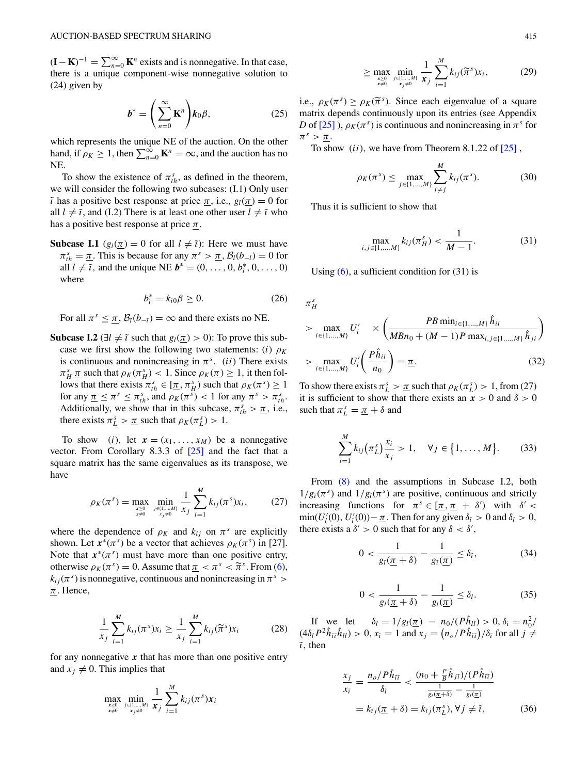$(\mathbf{I} - \mathbf{K})^{-1} = \sum_{n=0}^{\infty} \mathbf{K}^n$  exists and is nonnegative. In that case, there is a unique component-wise nonnegative solution to (24) given by

$$
\boldsymbol{b}^* = \left(\sum_{n=0}^{\infty} \mathbf{K}^n\right) k_0 \beta, \tag{25}
$$

which represents the unique NE of the auction. On the other hand, if  $\rho_K \geq 1$ , then  $\sum_{n=0}^{\infty} \mathbf{K}^n = \infty$ , and the auction has no NE.

To show the existence of  $\pi_{th}^s$ , as defined in the theorem, we will consider the following two subcases: (I.1) Only user  $\tilde{\imath}$  has a positive best response at price  $\pi$ , i.e.,  $g_l(\pi) = 0$  for all  $l \neq \tilde{i}$ , and (I.2) There is at least one other user  $l \neq \tilde{i}$  who has a positive best response at price *π*.

**Subcase I.1** ( $g_l(\underline{\pi}) = 0$  for all  $l \neq \overline{i}$ ): Here we must have  $\pi_{th}^{s} = \underline{\pi}$ . This is because for any  $\pi^{s} > \underline{\pi}$ ,  $\mathcal{B}_{l}(b_{-l}) = 0$  for all  $l \neq \tilde{i}$ , and the unique NE  $\mathbf{b}^* = (0, \ldots, 0, b^*_{\tilde{i}}, 0, \ldots, 0)$ where

$$
b_{\tilde{i}}^* = k_{\tilde{i}0} \beta \ge 0. \tag{26}
$$

For all  $\pi^s \leq \pi$ ,  $\mathcal{B}_{\tilde{i}}(b_{-\tilde{i}}) = \infty$  and there exists no NE.

**Subcase I.2** ( $\exists l \neq \tilde{\imath}$  such that  $g_l(\underline{\pi}) > 0$ ): To prove this subcase we first show the following two statements: (*i*)  $\rho_K$ is continuous and nonincreasing in  $\pi^s$ . (*ii*) There exists  $\pi_H^s \underline{\pi}$  such that  $\rho_K(\pi_H^s) < 1$ . Since  $\rho_K(\underline{\pi}) \ge 1$ , it then follows that there exists  $\pi_{th}^s \in [\underline{\pi}, \pi_H^s)$  such that  $\rho_K(\pi^s) \ge 1$ for any  $\underline{\pi} \leq \pi^s \leq \pi^s_{th}$ , and  $\rho_K(\pi^s) < 1$  for any  $\pi^s > \pi^s_{th}$ . Additionally, we show that in this subcase,  $\pi_{th}^{s} > \underline{\pi}$ , i.e., there exists  $\pi_L^s > \underline{\pi}$  such that  $\rho_K(\pi_L^s) > 1$ .

To show (*i*), let  $x = (x_1, \ldots, x_M)$  be a nonnegative vector. From Corollary 8*.*3*.*3 of [\[25\]](#page-12-21) and the fact that a square matrix has the same eigenvalues as its transpose, we have

$$
\rho_K(\pi^s) = \max_{\substack{x \geq 0 \\ x \neq 0}} \min_{\substack{j \in \{1, \dots, M\} \\ x_j \neq 0}} \frac{1}{x_j} \sum_{i=1}^M k_{ij}(\pi^s) x_i, \tag{27}
$$

where the dependence of  $\rho_K$  and  $k_{ij}$  on  $\pi^s$  are explicitly shown. Let  $x^*(\pi^s)$  be a vector that achieves  $\rho_K(\pi^s)$  in [27]. Note that  $x^*(\pi^s)$  must have more than one positive entry, otherwise  $\rho_K(\pi^s) = 0$ . Assume that  $\pi < \pi^s < \tilde{\pi}^s$ . From [\(6\)](#page-3-5),  $k_{ij}$ ( $\pi$ <sup>*s*</sup>) is nonnegative, continuous and nonincreasing in  $\pi$ <sup>*s*</sup> > *π*. Hence,

$$
\frac{1}{x_j} \sum_{i=1}^{M} k_{ij} (\pi^s) x_i \ge \frac{1}{x_j} \sum_{i=1}^{M} k_{ij} (\widetilde{\pi}^s) x_i \tag{28}
$$

for any nonnegative  $x$  that has more than one positive entry and  $x_j \neq 0$ . This implies that

$$
\max_{\substack{x \geq 0 \\ x \neq 0}} \min_{\substack{j \in \{1, \dots, M\} \\ x_j \neq 0}} \frac{1}{x_j} \sum_{i=1}^M k_{ij}(\pi^s) x_i
$$

i.e.,  $\rho_K(\pi^s) \geq \rho_K(\tilde{\pi}^s)$ . Since each eigenvalue of a square matrix depends continuously upon its entries (see Appendix *D* of  $[25]$ ),  $\rho_K(\pi^s)$  is continuous and nonincreasing in  $\pi^s$  for  $\pi^s > \pi$ .

To show (*ii*)*,* we have from Theorem 8.1.22 of [\[25\]](#page-12-21) ,

$$
\rho_K(\pi^s) \le \max_{j \in \{1, \dots, M\}} \sum_{i \ne j}^M k_{ij}(\pi^s). \tag{30}
$$

Thus it is sufficient to show that

 $\geq \max_{\substack{x \geq 0 \\ x \neq 0}}$ 

$$
\max_{i,j \in \{1,\dots,M\}} k_{ij}(\pi_H^s) < \frac{1}{M-1}.\tag{31}
$$

Using  $(6)$ , a sufficient condition for  $(31)$  is

$$
\pi_H^s
$$

$$
> \max_{i \in \{1,\dots,M\}} U'_i \times \left( \frac{PB \min_{i \in \{1,\dots,M\}} \hat{h}_{ii}}{MBn_0 + (M-1)P \max_{i,j \in \{1,\dots,M\}} \hat{h}_{ji}} \right)
$$
  
> 
$$
\max_{i \in \{1,\dots,M\}} U'_i \left( \frac{P\hat{h}_{ii}}{n_0} \right) = \underline{\pi}.
$$
 (32)

To show there exists  $\pi_L^s > \underline{\pi}$  such that  $\rho_K(\pi_L^s) > 1$ , from (27) it is sufficient to show that there exists an  $x > 0$  and  $\delta > 0$ such that  $\pi_L^s = \underline{\pi} + \delta$  and

$$
\sum_{i=1}^{M} k_{ij} (\pi_L^s) \frac{x_i}{x_j} > 1, \quad \forall j \in \{1, ..., M\}.
$$
 (33)

From [\(8\)](#page-3-7) and the assumptions in Subcase I.2, both  $1/g_i(\pi^s)$  and  $1/g_i(\pi^s)$  are positive, continuous and strictly increasing functions for  $\pi^s \in [\pi, \pi + \delta']$  with  $\delta' <$  $\min(U_l'(0), U_l'(0)) - \pi$ . Then for any given  $\delta_{\tilde{l}} > 0$  and  $\delta_l > 0$ , there exists a  $\delta' > 0$  such that for any  $\delta < \delta'$ ,

$$
0 < \frac{1}{g_{\tilde{t}}(\underline{\pi} + \delta)} - \frac{1}{g_{\tilde{t}}(\underline{\pi})} \leq \delta_{\tilde{t}},\tag{34}
$$

$$
0 < \frac{1}{g_l(\underline{\pi} + \delta)} - \frac{1}{g_l(\underline{\pi})} \le \delta_l. \tag{35}
$$

If we let  $\delta_l = 1/g_l(\pi) - n_0/(P\hat{h}_{ll}) > 0, \delta_{\tilde{l}} = n_0^2/$  $(4\delta_l P^2 \hat{h}_{\tilde{i}\tilde{i}} \hat{h}_{ll}) > 0$ ,  $x_{\tilde{i}} = 1$  and  $x_j = (n_o/P \hat{h}_{\tilde{i}\tilde{i}})/\delta_{\tilde{i}}$  for all  $j \neq$  $\tilde{i}$ , then

$$
\frac{x_j}{x_{\tilde{l}}} = \frac{n_o/P\hat{h}_{\tilde{l}\tilde{l}}}{\delta_{\tilde{l}}} < \frac{(n_0 + \frac{P}{B}\hat{h}_{j\tilde{l}})/(P\hat{h}_{\tilde{l}\tilde{l}})}{\frac{1}{g_{\tilde{l}}(\underline{\pi}+\delta)} - \frac{1}{g_{\tilde{l}}(\underline{\pi})}}\n= k_{\tilde{l}}(\underline{\pi}+\delta) = k_{\tilde{l}}(\pi_{\tilde{L}}^{\delta}), \forall j \neq \tilde{\iota},
$$
\n(36)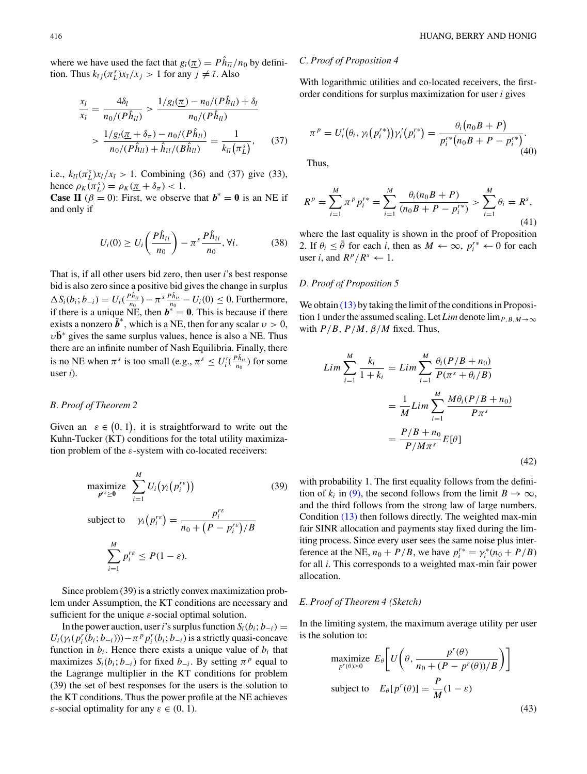where we have used the fact that  $g_{\tilde{i}}(\pi) = P \hat{h}_{\tilde{i}\tilde{i}}/n_0$  by definition. Thus  $k_{\tilde{i}j}(\pi_L^s)x_{\tilde{i}}/x_j > 1$  for any  $j \neq \tilde{\iota}$ . Also

$$
\frac{x_l}{x_{\bar{i}}} = \frac{4\delta_l}{n_0/(P\hat{h}_{ll})} > \frac{1/g_l(\underline{\pi}) - n_0/(P\hat{h}_{ll}) + \delta_l}{n_0/(P\hat{h}_{ll})}
$$
\n
$$
> \frac{1/g_l(\underline{\pi} + \delta_{\pi}) - n_0/(P\hat{h}_{ll})}{n_0/(P\hat{h}_{ll}) + \hat{h}_{ll}/(B\hat{h}_{ll})} = \frac{1}{k_{l\bar{i}}(\pi_L^s)},
$$
\n(37)

i.e.,  $k_{li}(\pi_L^s)x_l/x_{\tilde{l}} > 1$ . Combining (36) and (37) give (33), hence  $\rho_K(\overline{\pi}_L^s) = \rho_K(\underline{\pi} + \delta_{\pi}) < 1$ .

**Case II** ( $\beta = 0$ ): First, we observe that  $b^* = 0$  is an NE if and only if

$$
U_i(0) \ge U_i\left(\frac{P\hat{h}_{ii}}{n_0}\right) - \pi^s \frac{P\hat{h}_{ii}}{n_0}, \forall i. \tag{38}
$$

That is, if all other users bid zero, then user *i*'s best response bid is also zero since a positive bid gives the change in surplus  $\Delta S_i(b_i; b_{-i}) = U_i(\frac{p\hat{h}_{ii}}{n_0}) - \pi^s \frac{p\hat{h}_{ii}}{n_0} - U_i(0) \le 0$ . Furthermore, if there is a unique NE, then  $b^* = 0$ . This is because if there exists a nonzero  $\tilde{b}^*$ , which is a NE, then for any scalar  $v > 0$ ,  $\nu\tilde{\mathbf{b}}^*$  gives the same surplus values, hence is also a NE. Thus there are an infinite number of Nash Equilibria. Finally, there is no NE when  $\pi^s$  is too small (e.g.,  $\pi^s \le U_i'(\frac{P\hat{h}_{ii}}{n_0})$  for some user *i*).

# *B. Proof of Theorem 2*

Given an  $\varepsilon \in (0, 1)$ , it is straightforward to write out the Kuhn-Tucker (KT) conditions for the total utility maximization problem of the *ε*-system with co-located receivers:

$$
\begin{aligned}\n\text{maximize} & \sum_{p^{re}\geq 0}^{M} U_i \big( \gamma_i \big( p_i^{re} \big) \big) \\
\text{subject to} & \gamma_i \big( p_i^{re} \big) = \frac{p_i^{re}}{n_0 + \big( P - p_i^{re} \big) / B}\n\end{aligned} \tag{39}
$$

$$
\sum_{i=1}^{M} p_i^{r\epsilon} \le P(1-\epsilon).
$$

Since problem (39) is a strictly convex maximization problem under Assumption, the KT conditions are necessary and sufficient for the unique *ε*-social optimal solution.

In the power auction, user *i*'s surplus function  $S_i(b_i; b_{-i}) =$  $U_i(\gamma_i(p_i^r(b_i; b_{-i}))) - \pi^p p_i^r(b_i; b_{-i})$  is a strictly quasi-concave function in  $b_i$ . Hence there exists a unique value of  $b_i$  that maximizes  $S_i(b_i; b_{-i})$  for fixed  $b_{-i}$ . By setting  $\pi^p$  equal to the Lagrange multiplier in the KT conditions for problem (39) the set of best responses for the users is the solution to the KT conditions. Thus the power profile at the NE achieves *ε*-social optimality for any  $\varepsilon \in (0, 1)$ .

## *C. Proof of Proposition 4*

With logarithmic utilities and co-located receivers, the firstorder conditions for surplus maximization for user *i* gives

$$
\pi^{p} = U'_{i}(\theta_{i}, \gamma_{i}(p_{i}^{r*}))\gamma'_{i}(p_{i}^{r*}) = \frac{\theta_{i}(n_{0}B + P)}{p_{i}^{r*}(n_{0}B + P - p_{i}^{r*})}.
$$
\n(40)

Thus,

$$
R^{p} = \sum_{i=1}^{M} \pi^{p} p_{i}^{r*} = \sum_{i=1}^{M} \frac{\theta_{i}(n_{0}B + P)}{(n_{0}B + P - p_{i}^{r*})} > \sum_{i=1}^{M} \theta_{i} = R^{s},
$$
\n(41)

where the last equality is shown in the proof of Proposition 2. If  $\theta_i \leq \bar{\theta}$  for each *i*, then as  $M \leftarrow \infty$ ,  $p_i^{r*} \leftarrow 0$  for each user *i*, and  $R^p/R^s \leftarrow 1$ .

# *D. Proof of Proposition 5*

We obtain [\(13\)](#page-5-2) by taking the limit of the conditions in Proposition 1 under the assumed scaling. Let *Lim* denote  $\lim_{P,B,M\to\infty}$ with  $P/B$ ,  $P/M$ ,  $\beta/M$  fixed. Thus,

$$
Lim \sum_{i=1}^{M} \frac{k_i}{1+k_i} = Lim \sum_{i=1}^{M} \frac{\theta_i (P/B + n_0)}{P(\pi^s + \theta_i/B)}
$$
  
= 
$$
\frac{1}{M} Lim \sum_{i=1}^{M} \frac{M\theta_i (P/B + n_0)}{P\pi^s}
$$
  
= 
$$
\frac{P/B + n_0}{P/M\pi^s} E[\theta]
$$
 (42)

with probability 1. The first equality follows from the definition of  $k_i$  in [\(9\),](#page-4-2) the second follows from the limit  $B \to \infty$ , and the third follows from the strong law of large numbers. Condition [\(13\)](#page-5-2) then follows directly. The weighted max-min fair SINR allocation and payments stay fixed during the limiting process. Since every user sees the same noise plus interference at the NE,  $n_0 + P/B$ , we have  $p_i^{r*} = \gamma_i^*(n_0 + P/B)$ for all *i*. This corresponds to a weighted max-min fair power allocation.

## *E. Proof of Theorem 4 (Sketch)*

In the limiting system, the maximum average utility per user is the solution to:

<span id="page-11-0"></span>
$$
\underset{p^r(\theta)\geq 0}{\text{maximize}} \ E_{\theta} \bigg[ U\bigg(\theta, \frac{p^r(\theta)}{n_0 + (P - p^r(\theta))/B} \bigg) \bigg]
$$
\n
$$
\text{subject to} \quad E_{\theta}[p^r(\theta)] = \frac{P}{M}(1 - \varepsilon)
$$
\n
$$
(43)
$$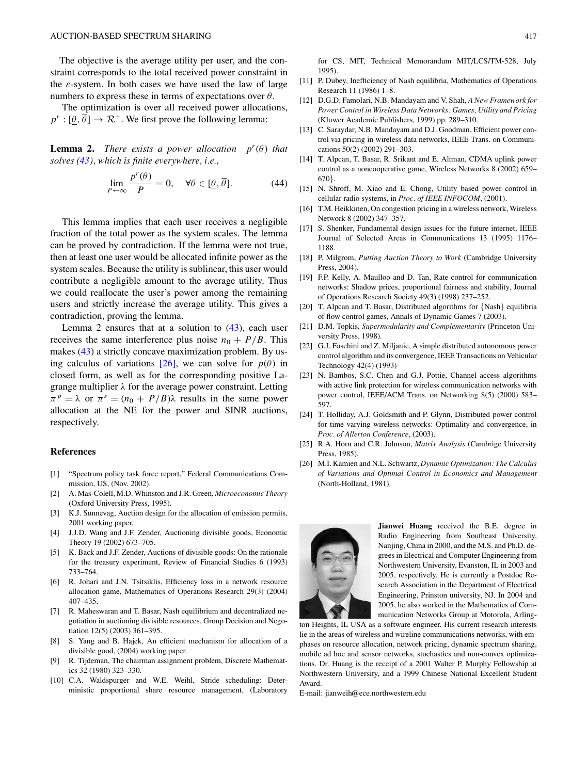The objective is the average utility per user, and the constraint corresponds to the total received power constraint in the *ε*-system. In both cases we have used the law of large numbers to express these in terms of expectations over *θ*.

The optimization is over all received power allocations,  $p^r : [\theta, \overline{\theta}] \rightarrow \mathcal{R}^+$ . We first prove the following lemma:

**Lemma 2.** *There exists a power allocation*  $p^r(\theta)$  *that solves [\(43\)](#page-11-0), which is finite everywhere, i.e.,*

$$
\lim_{P \to \infty} \frac{p^r(\theta)}{P} = 0, \quad \forall \theta \in [\underline{\theta}, \overline{\theta}]. \tag{44}
$$

This lemma implies that each user receives a negligible fraction of the total power as the system scales. The lemma can be proved by contradiction. If the lemma were not true, then at least one user would be allocated infinite power as the system scales. Because the utility is sublinear, this user would contribute a negligible amount to the average utility. Thus we could reallocate the user's power among the remaining users and strictly increase the average utility. This gives a contradiction, proving the lemma.

Lemma 2 ensures that at a solution to  $(43)$ , each user receives the same interference plus noise  $n_0 + P/B$ . This makes (43) a strictly concave maximization problem. By using calculus of variations  $[26]$ , we can solve for  $p(\theta)$  in closed form, as well as for the corresponding positive Lagrange multiplier *λ* for the average power constraint. Letting  $\pi^p = \lambda$  or  $\pi^s = (n_0 + P/B)\lambda$  results in the same power allocation at the NE for the power and SINR auctions, respectively.

## **References**

- [1] "Spectrum policy task force report," Federal Communications Commission, US, (Nov. 2002).
- <span id="page-12-0"></span>[2] A. Mas-Colell, M.D. Whinston and J.R. Green, *Microeconomic Theory* (Oxford University Press, 1995).
- <span id="page-12-1"></span>[3] K.J. Sunnevag, Auction design for the allocation of emission permits, 2001 working paper.
- <span id="page-12-2"></span>[4] J.J.D. Wang and J.F. Zender, Auctioning divisible goods, Economic Theory 19 (2002) 673–705.
- [5] K. Back and J.F. Zender, Auctions of divisible goods: On the rationale for the treasury experiment, Review of Financial Studies 6 (1993) 733–764.
- <span id="page-12-4"></span>[6] R. Johari and J.N. Tsitsiklis, Efficiency loss in a network resource allocation game, Mathematics of Operations Research 29(3) (2004) 407–435.
- <span id="page-12-5"></span>[7] R. Maheswaran and T. Basar, Nash equilibrium and decentralized negotiation in auctioning divisible resources, Group Decision and Negotiation 12(5) (2003) 361–395.
- <span id="page-12-14"></span>[8] S. Yang and B. Hajek, An efficient mechanism for allocation of a divisible good, (2004) working paper.
- <span id="page-12-3"></span>[9] R. Tijdeman, The chairman assignment problem, Discrete Mathematics 32 (1980) 323–330.
- <span id="page-12-6"></span>[10] C.A. Waldspurger and W.E. Weihl, Stride scheduling: Deterministic proportional share resource management, (Laboratory

for CS, MIT, Technical Memorandum MIT/LCS/TM-528, July 1995).

- <span id="page-12-7"></span>[11] P. Dubey, Inefficiency of Nash equilibria, Mathematics of Operations Research 11 (1986) 1–8.
- <span id="page-12-8"></span>[12] D.G.D. Famolari, N.B. Mandayam and V. Shah, *A New Framework for Power Control in Wireless Data Networks: Games, Utility and Pricing* (Kluwer Academic Publishers, 1999) pp. 289–310.
- <span id="page-12-9"></span>[13] C. Saraydar, N.B. Mandayam and D.J. Goodman, Efficient power control via pricing in wireless data networks, IEEE Trans. on Communications 50(2) (2002) 291–303.
- <span id="page-12-10"></span>[14] T. Alpcan, T. Basar, R. Srikant and E. Altman, CDMA uplink power control as a noncooperative game, Wireless Networks 8 (2002) 659– 670}.
- [15] N. Shroff, M. Xiao and E. Chong, Utility based power control in cellular radio systems, in *Proc. of IEEE INFOCOM,* (2001).
- [16] T.M. Heikkinen, On congestion pricing in a wireless network, Wireless Network 8 (2002) 347–357.
- <span id="page-12-11"></span>[17] S. Shenker, Fundamental design issues for the future internet, IEEE Journal of Selected Areas in Communications 13 (1995) 1176– 1188.
- <span id="page-12-12"></span>[18] P. Milgrom, *Putting Auction Theory to Work* (Cambridge University Press, 2004).
- <span id="page-12-13"></span>[19] F.P. Kelly, A. Maulloo and D. Tan, Rate control for communication networks: Shadow prices, proportional fairness and stability, Journal of Operations Research Society 49(3) (1998) 237–252.
- <span id="page-12-15"></span>[20] T. Alpcan and T. Basar, Distributed algorithms for {Nash} equilibria of flow control games, Annals of Dynamic Games 7 (2003).
- <span id="page-12-16"></span>[21] D.M. Topkis, *Supermodularity and Complementarity* (Princeton University Press, 1998).
- <span id="page-12-17"></span>[22] G.J. Foschini and Z. Miljanic, A simple distributed autonomous power control algorithm and its convergence, IEEE Transactions on Vehicular Technology 42(4) (1993)
- <span id="page-12-18"></span>[23] N. Bambos, S.C. Chen and G.J. Pottie, Channel access algorithms with active link protection for wireless communication networks with power control, IEEE/ACM Trans. on Networking 8(5) (2000) 583– 597.
- <span id="page-12-19"></span>[24] T. Holliday, A.J. Goldsmith and P. Glynn, Distributed power control for time varying wireless networks: Optimality and convergence, in *Proc. of Allerton Conference*, (2003).
- <span id="page-12-20"></span>[25] R.A. Horn and C.R. Johnson, *Matrix Analysis* (Cambrige University Press, 1985).
- <span id="page-12-22"></span><span id="page-12-21"></span>[26] M.I. Kamien and N.L. Schwartz, *Dynamic Optimization: The Calculus of Variations and Optimal Control in Economics and Management* (North-Holland, 1981).



**Jianwei Huang** received the B.E. degree in Radio Engineering from Southeast University, Nanjing, China in 2000, and the M.S. and Ph.D. degrees in Electrical and Computer Engineering from Northwestern University, Evanston, IL in 2003 and 2005, respectively. He is currently a Postdoc Research Association in the Department of Electrical Engineering, Prinston university, NJ. In 2004 and 2005, he also worked in the Mathematics of Communication Networks Group at Motorola, Arling-

ton Heights, IL USA as a software engineer. His current research interests lie in the areas of wireless and wireline communications networks, with emphases on resource allocation, network pricing, dynamic spectrum sharing, mobile ad hoc and sensor networks, stochastics and non-convex optimizations. Dr. Huang is the receipt of a 2001 Walter P. Murphy Fellowship at Northwestern University, and a 1999 Chinese National Excellent Student Award.

E-mail: jianweih@ece.northwestern.edu